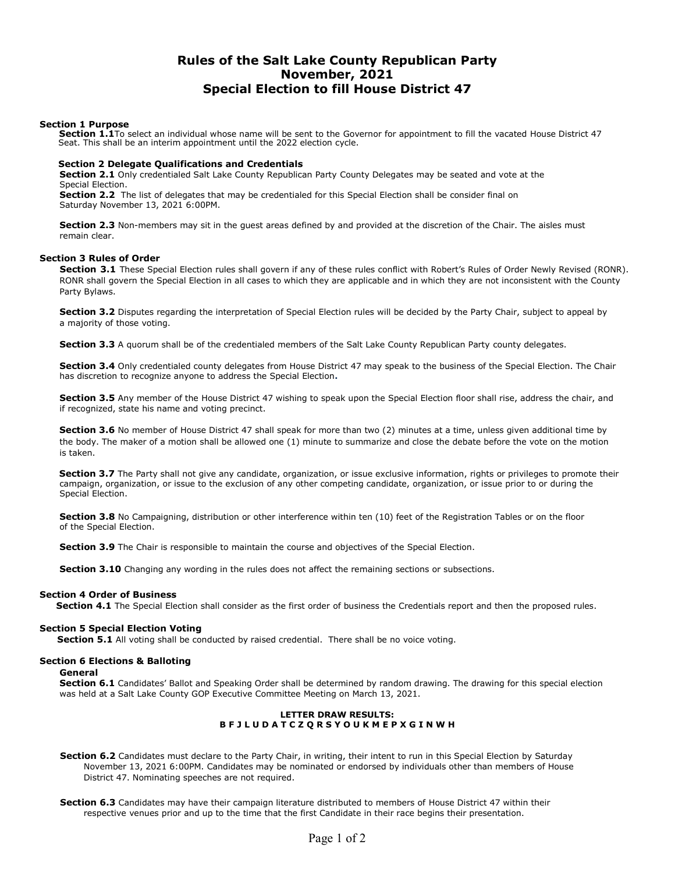# Rules of the Salt Lake County Republican Party November, 2021 Special Election to fill House District 47

#### Section 1 Purpose

Section 1.1To select an individual whose name will be sent to the Governor for appointment to fill the vacated House District 47 Seat. This shall be an interim appointment until the 2022 election cycle.

# Section 2 Delegate Qualifications and Credentials

Section 2.1 Only credentialed Salt Lake County Republican Party County Delegates may be seated and vote at the Special Election.

Section 2.2 The list of delegates that may be credentialed for this Special Election shall be consider final on Saturday November 13, 2021 6:00PM.

Section 2.3 Non-members may sit in the guest areas defined by and provided at the discretion of the Chair. The aisles must remain clear.

#### Section 3 Rules of Order

Section 3.1 These Special Election rules shall govern if any of these rules conflict with Robert's Rules of Order Newly Revised (RONR). RONR shall govern the Special Election in all cases to which they are applicable and in which they are not inconsistent with the County Party Bylaws.

Section 3.2 Disputes regarding the interpretation of Special Election rules will be decided by the Party Chair, subject to appeal by a majority of those voting.

Section 3.3 A quorum shall be of the credentialed members of the Salt Lake County Republican Party county delegates.

Section 3.4 Only credentialed county delegates from House District 47 may speak to the business of the Special Election. The Chair has discretion to recognize anyone to address the Special Election.

Section 3.5 Any member of the House District 47 wishing to speak upon the Special Election floor shall rise, address the chair, and if recognized, state his name and voting precinct.

Section 3.6 No member of House District 47 shall speak for more than two (2) minutes at a time, unless given additional time by the body. The maker of a motion shall be allowed one (1) minute to summarize and close the debate before the vote on the motion is taken.

Section 3.7 The Party shall not give any candidate, organization, or issue exclusive information, rights or privileges to promote their campaign, organization, or issue to the exclusion of any other competing candidate, organization, or issue prior to or during the Special Election.

Section 3.8 No Campaigning, distribution or other interference within ten (10) feet of the Registration Tables or on the floor of the Special Election.

Section 3.9 The Chair is responsible to maintain the course and objectives of the Special Election.

Section 3.10 Changing any wording in the rules does not affect the remaining sections or subsections.

## Section 4 Order of Business

Section 4.1 The Special Election shall consider as the first order of business the Credentials report and then the proposed rules.

#### Section 5 Special Election Voting

Section 5.1 All voting shall be conducted by raised credential. There shall be no voice voting.

## Section 6 Elections & Balloting

## General

Section 6.1 Candidates' Ballot and Speaking Order shall be determined by random drawing. The drawing for this special election was held at a Salt Lake County GOP Executive Committee Meeting on March 13, 2021.

## LETTER DRAW RESULTS: B F J L U D A T C Z Q R S Y O U K M E P X G I N W H

Section 6.2 Candidates must declare to the Party Chair, in writing, their intent to run in this Special Election by Saturday November 13, 2021 6:00PM. Candidates may be nominated or endorsed by individuals other than members of House District 47. Nominating speeches are not required.

Section 6.3 Candidates may have their campaign literature distributed to members of House District 47 within their respective venues prior and up to the time that the first Candidate in their race begins their presentation.